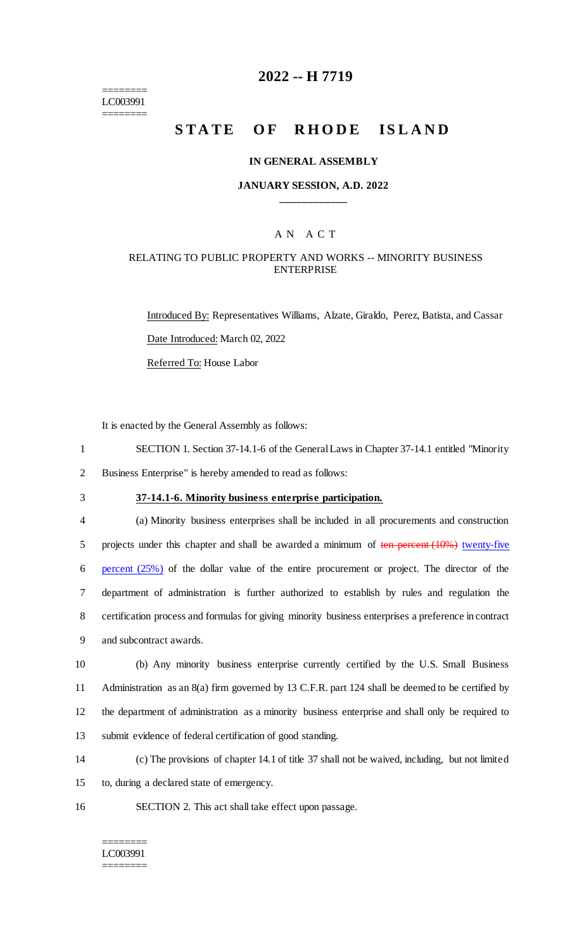======== LC003991 ========

## **2022 -- H 7719**

# **STATE OF RHODE ISLAND**

#### **IN GENERAL ASSEMBLY**

#### **JANUARY SESSION, A.D. 2022 \_\_\_\_\_\_\_\_\_\_\_\_**

## A N A C T

### RELATING TO PUBLIC PROPERTY AND WORKS -- MINORITY BUSINESS ENTERPRISE

Introduced By: Representatives Williams, Alzate, Giraldo, Perez, Batista, and Cassar Date Introduced: March 02, 2022 Referred To: House Labor

It is enacted by the General Assembly as follows:

- 1 SECTION 1. Section 37-14.1-6 of the General Laws in Chapter 37-14.1 entitled "Minority
- 2 Business Enterprise" is hereby amended to read as follows:
- 

# 3 **37-14.1-6. Minority business enterprise participation.**

 (a) Minority business enterprises shall be included in all procurements and construction 5 projects under this chapter and shall be awarded a minimum of ten percent (10%) twenty-five percent (25%) of the dollar value of the entire procurement or project. The director of the department of administration is further authorized to establish by rules and regulation the certification process and formulas for giving minority business enterprises a preference in contract and subcontract awards.

 (b) Any minority business enterprise currently certified by the U.S. Small Business Administration as an 8(a) firm governed by 13 C.F.R. part 124 shall be deemed to be certified by the department of administration as a minority business enterprise and shall only be required to submit evidence of federal certification of good standing.

14 (c) The provisions of chapter 14.1 of title 37 shall not be waived, including, but not limited 15 to, during a declared state of emergency.

16 SECTION 2. This act shall take effect upon passage.

======== LC003991 ========